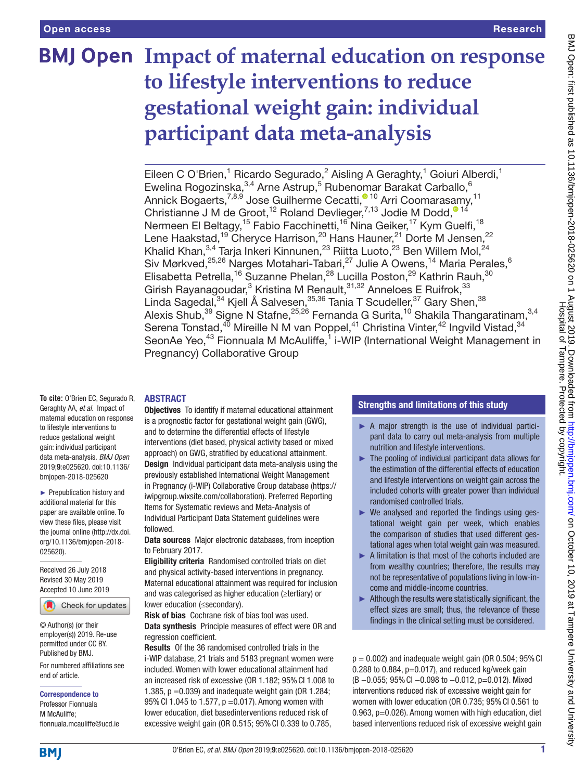# **BMJ Open Impact of maternal education on response to lifestyle interventions to reduce gestational weight gain: individual participant data meta-analysis**

Eileen C O'Brien,<sup>1</sup> Ricardo Segurado,<sup>2</sup> Aisling A Geraghty,<sup>1</sup> Goiuri Alberdi,<sup>1</sup> Ewelina Rogozinska,  $3,4$  Arne Astrup,  $5$  Rubenomar Barakat Carballo,  $6$ Annick Bogaerts[,](http://orcid.org/0000-0003-1285-8445)<sup>7,8,9</sup> Jose Guilherme Cecatti,<sup>® 10</sup> Arri Coomarasamy,<sup>11</sup> Christianne J M de Groot[,](http://orcid.org/0000-0002-6363-4874)<sup>12</sup> Roland Devlieger,<sup>7,13</sup> Jodie M Dodd,<sup>014</sup> Nermeen El Beltagy,<sup>15</sup> Fabio Facchinetti,<sup>16</sup> Nina Geiker,<sup>17</sup> Kym Guelfi,<sup>18</sup> Lene Haakstad,<sup>19</sup> Cheryce Harrison,<sup>20</sup> Hans Hauner,<sup>21</sup> Dorte M Jensen,<sup>22</sup> Khalid Khan, $^{3,4}$  Tarja Inkeri Kinnunen, $^{23}$  Riitta Luoto, $^{23}$  Ben Willem Mol, $^{24}$ Siv Mørkved,<sup>25,26</sup> Narges Motahari-Tabari,<sup>27</sup> Julie A Owens,<sup>14</sup> Maria Perales,<sup>6</sup> Elisabetta Petrella,<sup>16</sup> Suzanne Phelan,<sup>28</sup> Lucilla Poston,<sup>29</sup> Kathrin Rauh,<sup>30</sup> Girish Rayanagoudar,<sup>3</sup> Kristina M Renault, 31,32 Anneloes E Ruifrok, 33 Linda Sagedal,<sup>34</sup> Kjell Å Salvesen,<sup>35,36</sup> Tania T Scudeller, <sup>37</sup> Gary Shen, <sup>38</sup> Alexis Shub,<sup>39</sup> Signe N Stafne,<sup>25,26</sup> Fernanda G Surita,<sup>10</sup> Shakila Thangaratinam,<sup>3,4</sup> Serena Tonstad, $^{40}$  Mireille N M van Poppel, $^{41}$  Christina Vinter, $^{42}$  Ingvild Vistad, $^{34}$ SeonAe Yeo,<sup>43</sup> Fionnuala M McAuliffe,<sup>1</sup> i-WIP (International Weight Management in Pregnancy) Collaborative Group

# **ABSTRACT**

**To cite:** O'Brien EC, Segurado R, Geraghty AA, *et al*. Impact of maternal education on response to lifestyle interventions to reduce gestational weight gain: individual participant data meta-analysis. *BMJ Open* 2019;9:e025620. doi:10.1136/ bmjopen-2018-025620

► Prepublication history and additional material for this paper are available online. To view these files, please visit the journal online (http://dx.doi. org/10.1136/bmjopen-2018- 025620).

Received 26 July 2018 Revised 30 May 2019 Accepted 10 June 2019

Check for updates

© Author(s) (or their employer(s)) 2019. Re-use permitted under CC BY. Published by BMJ.

For numbered affiliations see end of article.

Correspondence to

Professor Fionnuala M McAuliffe; fionnuala.mcauliffe@ucd.ie Objectives To identify if maternal educational attainment is a prognostic factor for gestational weight gain (GWG), and to determine the differential effects of lifestyle interventions (diet based, physical activity based or mixed approach) on GWG, stratified by educational attainment. Design Individual participant data meta-analysis using the previously established International Weight Management in Pregnancy (i-WIP) Collaborative Group database [\(https://](https://iwipgroup.wixsite.com/collaboration) [iwipgroup.wixsite.com/collaboration\)](https://iwipgroup.wixsite.com/collaboration). Preferred Reporting Items for Systematic reviews and Meta-Analysis of Individual Participant Data Statement guidelines were followed.

Data sources Major electronic databases, from inception to February 2017.

Eligibility criteria Randomised controlled trials on diet and physical activity-based interventions in pregnancy. Maternal educational attainment was required for inclusion and was categorised as higher education (≥tertiary) or lower education (≤secondary).

Risk of bias Cochrane risk of bias tool was used. Data synthesis Principle measures of effect were OR and regression coefficient.

Results Of the 36 randomised controlled trials in the i-WIP database, 21 trials and 5183 pregnant women were included. Women with lower educational attainment had an increased risk of excessive (OR 1.182; 95%CI 1.008 to 1.385,  $p = 0.039$ ) and inadequate weight gain (OR 1.284; 95%CI 1.045 to 1.577, p =0.017). Among women with lower education, diet basedinterventions reduced risk of excessive weight gain (OR 0.515; 95%CI 0.339 to 0.785,

# Strengths and limitations of this study

- ► A major strength is the use of individual participant data to carry out meta-analysis from multiple nutrition and lifestyle interventions.
- ► The pooling of individual participant data allows for the estimation of the differential effects of education and lifestyle interventions on weight gain across the included cohorts with greater power than individual randomised controlled trials.
- $\triangleright$  We analysed and reported the findings using gestational weight gain per week, which enables the comparison of studies that used different gestational ages when total weight gain was measured.
- ► A limitation is that most of the cohorts included are from wealthy countries; therefore, the results may not be representative of populations living in low-income and middle-income countries.
- $\blacktriangleright$  Although the results were statistically significant, the effect sizes are small; thus, the relevance of these findings in the clinical setting must be considered.

 $p = 0.002$ ) and inadequate weight gain (OR 0.504; 95% CI 0.288 to 0.884,  $p=0.017$ ), and reduced kg/week gain (B −0.055; 95%CI −0.098 to −0.012, p=0.012). Mixed interventions reduced risk of excessive weight gain for women with lower education (OR 0.735; 95%CI 0.561 to 0.963, p=0.026). Among women with high education, diet based interventions reduced risk of excessive weight gain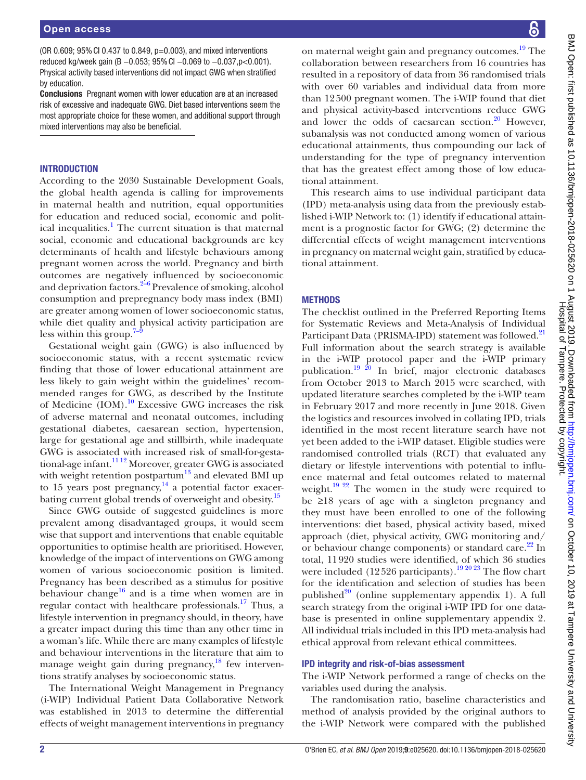(OR 0.609; 95%CI 0.437 to 0.849, p=0.003), and mixed interventions reduced kg/week gain (B -0.053; 95% CI -0.069 to -0.037, p < 0.001). Physical activity based interventions did not impact GWG when stratified by education.

Conclusions Pregnant women with lower education are at an increased risk of excessive and inadequate GWG. Diet based interventions seem the most appropriate choice for these women, and additional support through mixed interventions may also be beneficial.

# **INTRODUCTION**

According to the 2030 Sustainable Development Goals, the global health agenda is calling for improvements in maternal health and nutrition, equal opportunities for education and reduced social, economic and polit-ical inequalities.<sup>[1](#page-9-0)</sup> The current situation is that maternal social, economic and educational backgrounds are key determinants of health and lifestyle behaviours among pregnant women across the world. Pregnancy and birth outcomes are negatively influenced by socioeconomic and deprivation factors. $2-6$  Prevalence of smoking, alcohol consumption and prepregnancy body mass index (BMI) are greater among women of lower socioeconomic status, while diet quality and physical activity participation are less within this group. $\overline{a}$ 

Gestational weight gain (GWG) is also influenced by socioeconomic status, with a recent systematic review finding that those of lower educational attainment are less likely to gain weight within the guidelines' recommended ranges for GWG, as described by the Institute of Medicine (IOM).<sup>[10](#page-10-1)</sup> Excessive GWG increases the risk of adverse maternal and neonatal outcomes, including gestational diabetes, caesarean section, hypertension, large for gestational age and stillbirth, while inadequate GWG is associated with increased risk of small-for-gestational-age infant.[11 12](#page-10-2) Moreover, greater GWG is associated with weight retention postpartum $^{13}$  and elevated BMI up to 15 years post pregnancy, $^{14}$  $^{14}$  $^{14}$  a potential factor exacerbating current global trends of overweight and obesity.<sup>15</sup>

Since GWG outside of suggested guidelines is more prevalent among disadvantaged groups, it would seem wise that support and interventions that enable equitable opportunities to optimise health are prioritised. However, knowledge of the impact of interventions on GWG among women of various socioeconomic position is limited. Pregnancy has been described as a stimulus for positive behaviour change<sup>16</sup> and is a time when women are in regular contact with healthcare professionals.<sup>17</sup> Thus, a lifestyle intervention in pregnancy should, in theory, have a greater impact during this time than any other time in a woman's life. While there are many examples of lifestyle and behaviour interventions in the literature that aim to manage weight gain during pregnancy, $^{18}$  $^{18}$  $^{18}$  few interventions stratify analyses by socioeconomic status.

The International Weight Management in Pregnancy (i-WIP) Individual Patient Data Collaborative Network was established in 2013 to determine the differential effects of weight management interventions in pregnancy

on maternal weight gain and pregnancy outcomes.<sup>19</sup> The collaboration between researchers from 16 countries has resulted in a repository of data from 36 randomised trials with over 60 variables and individual data from more than 12500 pregnant women. The i-WIP found that diet and physical activity-based interventions reduce GWG and lower the odds of caesarean section. $20$  However, subanalysis was not conducted among women of various educational attainments, thus compounding our lack of understanding for the type of pregnancy intervention that has the greatest effect among those of low educational attainment.

This research aims to use individual participant data (IPD) meta-analysis using data from the previously established i-WIP Network to: (1) identify if educational attainment is a prognostic factor for GWG; (2) determine the differential effects of weight management interventions in pregnancy on maternal weight gain, stratified by educational attainment.

# **METHODS**

The checklist outlined in the Preferred Reporting Items for Systematic Reviews and Meta-Analysis of Individual Participant Data (PRISMA-IPD) statement was followed.<sup>[21](#page-10-11)</sup> Full information about the search strategy is available in the i-WIP protocol paper and the i-WIP primary publication.<sup>19 20</sup> In brief, major electronic databases from October 2013 to March 2015 were searched, with updated literature searches completed by the i-WIP team in February 2017 and more recently in June 2018. Given the logistics and resources involved in collating IPD, trials identified in the most recent literature search have not yet been added to the i-WIP dataset. Eligible studies were randomised controlled trials (RCT) that evaluated any dietary or lifestyle interventions with potential to influence maternal and fetal outcomes related to maternal weight.<sup>[19 22](#page-10-9)</sup> The women in the study were required to be ≥18 years of age with a singleton pregnancy and they must have been enrolled to one of the following interventions: diet based, physical activity based, mixed approach (diet, physical activity, GWG monitoring and/ or behaviour change components) or standard care.<sup>[22](#page-10-12)</sup> In total, 11920 studies were identified, of which 36 studies were included (12526 participants).<sup>[19 20 23](#page-10-9)</sup> The flow chart for the identification and selection of studies has been published $^{20}$  (online [supplementary appendix 1\)](https://dx.doi.org/10.1136/bmjopen-2018-025620). A full search strategy from the original i-WIP IPD for one database is presented in online [supplementary appendix 2](https://dx.doi.org/10.1136/bmjopen-2018-025620). All individual trials included in this IPD meta-analysis had ethical approval from relevant ethical committees.

# IPD integrity and risk-of-bias assessment

The i-WIP Network performed a range of checks on the variables used during the analysis.

The randomisation ratio, baseline characteristics and method of analysis provided by the original authors to the i-WIP Network were compared with the published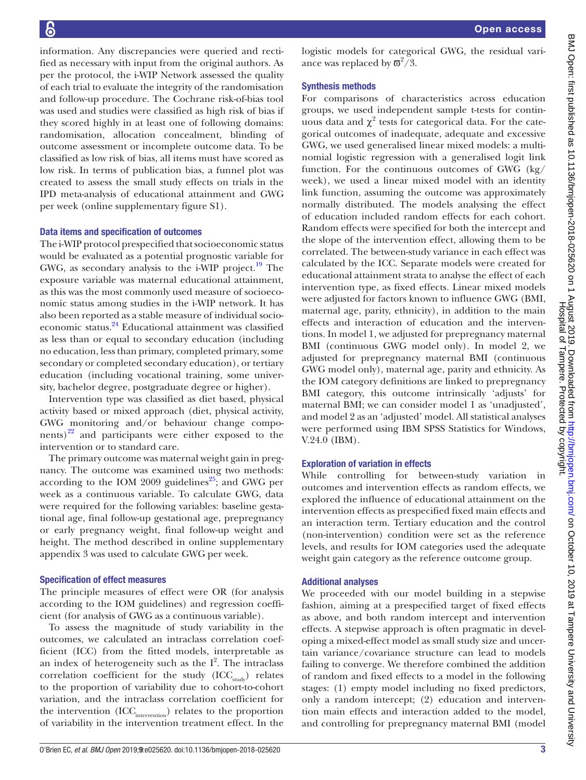information. Any discrepancies were queried and rectified as necessary with input from the original authors. As per the protocol, the i-WIP Network assessed the quality of each trial to evaluate the integrity of the randomisation and follow-up procedure. The Cochrane risk-of-bias tool was used and studies were classified as high risk of bias if they scored highly in at least one of following domains: randomisation, allocation concealment, blinding of outcome assessment or incomplete outcome data. To be classified as low risk of bias, all items must have scored as low risk. In terms of publication bias, a funnel plot was created to assess the small study effects on trials in the IPD meta-analysis of educational attainment and GWG per week (online [supplementary figure S1\)](https://dx.doi.org/10.1136/bmjopen-2018-025620).

#### Data items and specification of outcomes

The i-WIP protocol prespecified that socioeconomic status would be evaluated as a potential prognostic variable for GWG, as secondary analysis to the i-WIP project.<sup>19</sup> The exposure variable was maternal educational attainment, as this was the most commonly used measure of socioeconomic status among studies in the i-WIP network. It has also been reported as a stable measure of individual socioeconomic status.[24](#page-10-13) Educational attainment was classified as less than or equal to secondary education (including no education, less than primary, completed primary, some secondary or completed secondary education), or tertiary education (including vocational training, some university, bachelor degree, postgraduate degree or higher).

Intervention type was classified as diet based, physical activity based or mixed approach (diet, physical activity, GWG monitoring and/or behaviour change components) $^{22}$  and participants were either exposed to the intervention or to standard care.

The primary outcome was maternal weight gain in pregnancy. The outcome was examined using two methods: according to the IOM 2009 guidelines<sup>25</sup>; and GWG per week as a continuous variable. To calculate GWG, data were required for the following variables: baseline gestational age, final follow-up gestational age, prepregnancy or early pregnancy weight, final follow-up weight and height. The method described in online [supplementary](https://dx.doi.org/10.1136/bmjopen-2018-025620) [appendix 3](https://dx.doi.org/10.1136/bmjopen-2018-025620) was used to calculate GWG per week.

#### Specification of effect measures

The principle measures of effect were OR (for analysis according to the IOM guidelines) and regression coefficient (for analysis of GWG as a continuous variable).

To assess the magnitude of study variability in the outcomes, we calculated an intraclass correlation coefficient (ICC) from the fitted models, interpretable as an index of heterogeneity such as the  $I^2$ . The intraclass correlation coefficient for the study  $(ICC_{\text{study}})$  relates to the proportion of variability due to cohort-to-cohort variation, and the intraclass correlation coefficient for the intervention (ICC<sub>intervention</sub>) relates to the proportion of variability in the intervention treatment effect. In the

logistic models for categorical GWG, the residual variance was replaced by  $\sigma^2/3$ .

## Synthesis methods

For comparisons of characteristics across education groups, we used independent sample t-tests for continuous data and  $\chi^2$  tests for categorical data. For the categorical outcomes of inadequate, adequate and excessive GWG, we used generalised linear mixed models: a multinomial logistic regression with a generalised logit link function. For the continuous outcomes of GWG (kg/ week), we used a linear mixed model with an identity link function, assuming the outcome was approximately normally distributed. The models analysing the effect of education included random effects for each cohort. Random effects were specified for both the intercept and the slope of the intervention effect, allowing them to be correlated. The between-study variance in each effect was calculated by the ICC. Separate models were created for educational attainment strata to analyse the effect of each intervention type, as fixed effects. Linear mixed models were adjusted for factors known to influence GWG (BMI, maternal age, parity, ethnicity), in addition to the main effects and interaction of education and the interventions. In model 1, we adjusted for prepregnancy maternal BMI (continuous GWG model only). In model 2, we adjusted for prepregnancy maternal BMI (continuous GWG model only), maternal age, parity and ethnicity. As the IOM category definitions are linked to prepregnancy BMI category, this outcome intrinsically 'adjusts' for maternal BMI; we can consider model 1 as 'unadjusted', and model 2 as an 'adjusted' model. All statistical analyses were performed using IBM SPSS Statistics for Windows, V.24.0 (IBM).

# Exploration of variation in effects

While controlling for between-study variation in outcomes and intervention effects as random effects, we explored the influence of educational attainment on the intervention effects as prespecified fixed main effects and an interaction term. Tertiary education and the control (non-intervention) condition were set as the reference levels, and results for IOM categories used the adequate weight gain category as the reference outcome group.

#### Additional analyses

We proceeded with our model building in a stepwise fashion, aiming at a prespecified target of fixed effects as above, and both random intercept and intervention effects. A stepwise approach is often pragmatic in developing a mixed-effect model as small study size and uncertain variance/covariance structure can lead to models failing to converge. We therefore combined the addition of random and fixed effects to a model in the following stages: (1) empty model including no fixed predictors, only a random intercept; (2) education and intervention main effects and interaction added to the model, and controlling for prepregnancy maternal BMI (model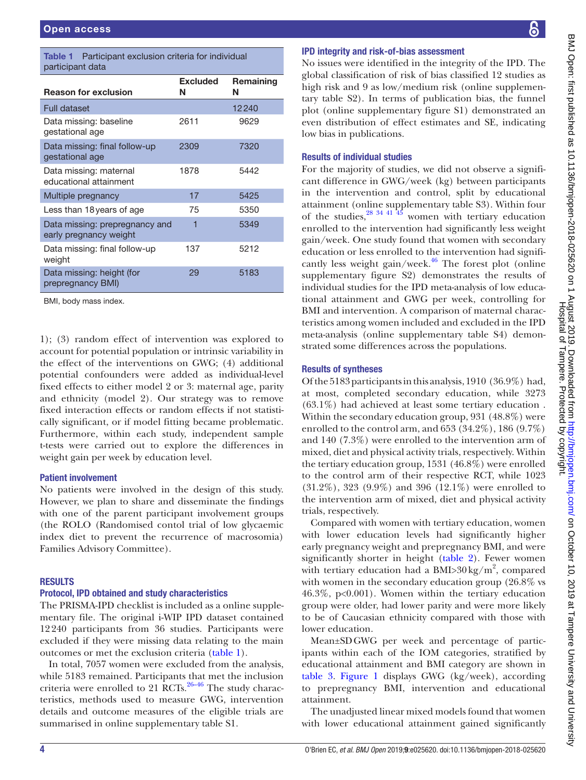<span id="page-3-0"></span>Table 1 Participant exclusion criteria for individual participant data

|                                                          | <b>Excluded</b> | Remaining |
|----------------------------------------------------------|-----------------|-----------|
| <b>Reason for exclusion</b>                              | N               | Ν         |
| <b>Full dataset</b>                                      |                 | 12240     |
| Data missing: baseline<br>gestational age                | 2611            | 9629      |
| Data missing: final follow-up<br>gestational age         | 2309            | 7320      |
| Data missing: maternal<br>educational attainment         | 1878            | 5442      |
| Multiple pregnancy                                       | 17              | 5425      |
| Less than 18 years of age                                | 75              | 5350      |
| Data missing: prepregnancy and<br>early pregnancy weight | 1               | 5349      |
| Data missing: final follow-up<br>weight                  | 137             | 5212      |
| Data missing: height (for<br>prepregnancy BMI)           | 29              | 5183      |
| BMI, body mass index.                                    |                 |           |

1); (3) random effect of intervention was explored to account for potential population or intrinsic variability in the effect of the interventions on GWG; (4) additional potential confounders were added as individual-level fixed effects to either model 2 or 3: maternal age, parity and ethnicity (model 2). Our strategy was to remove fixed interaction effects or random effects if not statistically significant, or if model fitting became problematic. Furthermore, within each study, independent sample t-tests were carried out to explore the differences in weight gain per week by education level.

#### Patient involvement

No patients were involved in the design of this study. However, we plan to share and disseminate the findings with one of the parent participant involvement groups (the ROLO (Randomised contol trial of low glycaemic index diet to prevent the recurrence of macrosomia) Families Advisory Committee).

#### **RESULTS**

# Protocol, IPD obtained and study characteristics

The PRISMA-IPD checklist is included as a online [supple](https://dx.doi.org/10.1136/bmjopen-2018-025620)[mentary file](https://dx.doi.org/10.1136/bmjopen-2018-025620). The original i-WIP IPD dataset contained 12240 participants from 36 studies. Participants were excluded if they were missing data relating to the main outcomes or met the exclusion criteria ([table](#page-3-0) 1).

In total, 7057 women were excluded from the analysis, while 5183 remained. Participants that met the inclusion criteria were enrolled to 21  $\text{RCTs}$ .<sup>26–46</sup> The study characteristics, methods used to measure GWG, intervention details and outcome measures of the eligible trials are summarised in online [supplementary table S1.](https://dx.doi.org/10.1136/bmjopen-2018-025620)

# IPD integrity and risk-of-bias assessment

No issues were identified in the integrity of the IPD. The global classification of risk of bias classified 12 studies as high risk and 9 as low/medium risk (online [supplemen](https://dx.doi.org/10.1136/bmjopen-2018-025620)[tary table S2](https://dx.doi.org/10.1136/bmjopen-2018-025620)). In terms of publication bias, the funnel plot (online [supplementary figure S1](https://dx.doi.org/10.1136/bmjopen-2018-025620)) demonstrated an even distribution of effect estimates and SE, indicating low bias in publications.

#### Results of individual studies

For the majority of studies, we did not observe a significant difference in GWG/week (kg) between participants in the intervention and control, split by educational attainment (online [supplementary table S3](https://dx.doi.org/10.1136/bmjopen-2018-025620)). Within four of the studies, $28 \frac{34 \times 41}{45}$  women with tertiary education enrolled to the intervention had significantly less weight gain/week. One study found that women with secondary education or less enrolled to the intervention had significantly less weight gain/week. $46$  The forest plot (online [supplementary figure S2](https://dx.doi.org/10.1136/bmjopen-2018-025620)) demonstrates the results of individual studies for the IPD meta-analysis of low educational attainment and GWG per week, controlling for BMI and intervention. A comparison of maternal characteristics among women included and excluded in the IPD meta-analysis (online [supplementary table S4](https://dx.doi.org/10.1136/bmjopen-2018-025620)) demonstrated some differences across the populations.

# Results of syntheses

Of the 5183 participants in this analysis, 1910 (36.9%) had, at most, completed secondary education, while 3273  $(63.1\%)$  had achieved at least some tertiary education. Within the secondary education group, 931 (48.8%) were enrolled to the control arm, and 653 (34.2%), 186 (9.7%) and 140 (7.3%) were enrolled to the intervention arm of mixed, diet and physical activity trials, respectively. Within the tertiary education group, 1531 (46.8%) were enrolled to the control arm of their respective RCT, while 1023 (31.2%), 323 (9.9%) and 396 (12.1%) were enrolled to the intervention arm of mixed, diet and physical activity trials, respectively.

Compared with women with tertiary education, women with lower education levels had significantly higher early pregnancy weight and prepregnancy BMI, and were significantly shorter in height [\(table](#page-4-0) 2). Fewer women with tertiary education had a BMI> $30 \text{ kg/m}^2$ , compared with women in the secondary education group (26.8% vs 46.3%, p<0.001). Women within the tertiary education group were older, had lower parity and were more likely to be of Caucasian ethnicity compared with those with lower education.

Mean±SDGWG per week and percentage of participants within each of the IOM categories, stratified by educational attainment and BMI category are shown in [table](#page-5-0) 3. [Figure](#page-5-1) 1 displays GWG (kg/week), according to prepregnancy BMI, intervention and educational attainment.

The unadjusted linear mixed models found that women with lower educational attainment gained significantly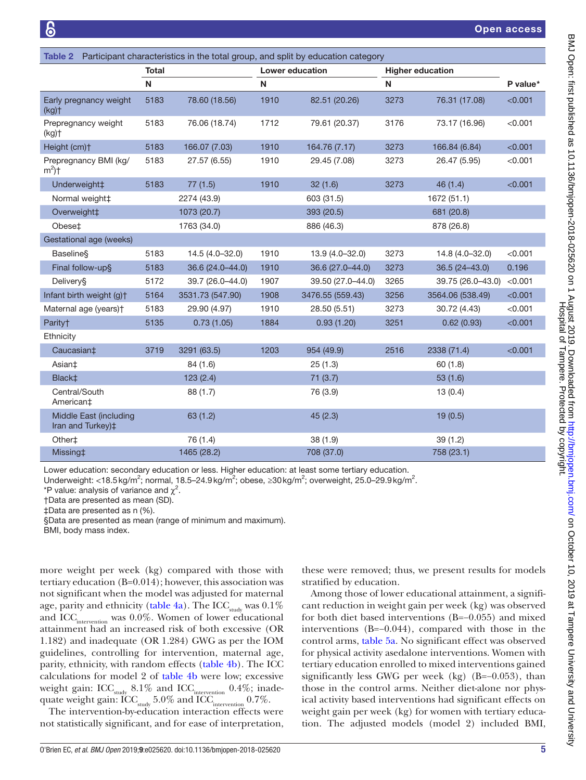<span id="page-4-0"></span>

| <b>Table 2</b> Participant characteristics in the total group, and split by education category |              |                  |      |                   |      |                         |          |
|------------------------------------------------------------------------------------------------|--------------|------------------|------|-------------------|------|-------------------------|----------|
|                                                                                                | <b>Total</b> |                  |      | Lower education   |      | <b>Higher education</b> |          |
|                                                                                                | ${\sf N}$    |                  | N    |                   | N    |                         | P value* |
| Early pregnancy weight<br>(kg)                                                                 | 5183         | 78.60 (18.56)    | 1910 | 82.51 (20.26)     | 3273 | 76.31 (17.08)           | < 0.001  |
| Prepregnancy weight<br>(kg)                                                                    | 5183         | 76.06 (18.74)    | 1712 | 79.61 (20.37)     | 3176 | 73.17 (16.96)           | < 0.001  |
| Height (cm)+                                                                                   | 5183         | 166.07 (7.03)    | 1910 | 164.76 (7.17)     | 3273 | 166.84 (6.84)           | < 0.001  |
| Prepregnancy BMI (kg/<br>$m^2$ )†                                                              | 5183         | 27.57 (6.55)     | 1910 | 29.45 (7.08)      | 3273 | 26.47 (5.95)            | < 0.001  |
| Underweight‡                                                                                   | 5183         | 77(1.5)          | 1910 | 32(1.6)           | 3273 | 46(1.4)                 | < 0.001  |
| Normal weight‡                                                                                 |              | 2274 (43.9)      |      | 603 (31.5)        |      | 1672 (51.1)             |          |
| Overweight#                                                                                    |              | 1073 (20.7)      |      | 393 (20.5)        |      | 681 (20.8)              |          |
| Obese‡                                                                                         |              | 1763 (34.0)      |      | 886 (46.3)        |      | 878 (26.8)              |          |
| Gestational age (weeks)                                                                        |              |                  |      |                   |      |                         |          |
| <b>Baseline</b>                                                                                | 5183         | 14.5 (4.0-32.0)  | 1910 | 13.9 (4.0-32.0)   | 3273 | 14.8 (4.0-32.0)         | < 0.001  |
| Final follow-up§                                                                               | 5183         | 36.6 (24.0-44.0) | 1910 | 36.6 (27.0-44.0)  | 3273 | $36.5(24 - 43.0)$       | 0.196    |
| Delivery§                                                                                      | 5172         | 39.7 (26.0-44.0) | 1907 | 39.50 (27.0-44.0) | 3265 | 39.75 (26.0-43.0)       | < 0.001  |
| Infant birth weight (g)t                                                                       | 5164         | 3531.73 (547.90) | 1908 | 3476.55 (559.43)  | 3256 | 3564.06 (538.49)        | < 0.001  |
| Maternal age (years) <sup>+</sup>                                                              | 5183         | 29.90 (4.97)     | 1910 | 28.50 (5.51)      | 3273 | 30.72 (4.43)            | < 0.001  |
| Parity†                                                                                        | 5135         | 0.73(1.05)       | 1884 | 0.93(1.20)        | 3251 | 0.62(0.93)              | < 0.001  |
| Ethnicity                                                                                      |              |                  |      |                   |      |                         |          |
| Caucasian <sup>‡</sup>                                                                         | 3719         | 3291 (63.5)      | 1203 | 954 (49.9)        | 2516 | 2338 (71.4)             | < 0.001  |
| Asian‡                                                                                         |              | 84 (1.6)         |      | 25(1.3)           |      | 60(1.8)                 |          |
| Black <sup>+</sup>                                                                             |              | 123(2.4)         |      | 71(3.7)           |      | 53(1.6)                 |          |
| Central/South<br>American‡                                                                     |              | 88 (1.7)         |      | 76 (3.9)          |      | 13(0.4)                 |          |
| Middle East (including<br>Iran and Turkey)‡                                                    |              | 63(1.2)          |      | 45(2.3)           |      | 19(0.5)                 |          |
| Other <sup>+</sup>                                                                             |              | 76 (1.4)         |      | 38(1.9)           |      | 39(1.2)                 |          |
| Missing‡                                                                                       |              | 1465 (28.2)      |      | 708 (37.0)        |      | 758 (23.1)              |          |

Lower education: secondary education or less. Higher education: at least some tertiary education.

Underweight: <18.5 kg/m<sup>2</sup>; normal, 18.5–24.9 kg/m<sup>2</sup>; obese, ≥30 kg/m<sup>2</sup>; overweight, 25.0–29.9 kg/m<sup>2</sup>.

\*P value: analysis of variance and  $\chi^2$ .

†Data are presented as mean (SD).

‡Data are presented as n (%).

§Data are presented as mean (range of minimum and maximum).

BMI, body mass index.

more weight per week (kg) compared with those with tertiary education (B=0.014); however, this association was not significant when the model was adjusted for maternal age, parity and ethnicity [\(table](#page-6-0) 4a). The ICC  $_{\rm study}$  was  $0.1\%$ and ICC<sub>intervention</sub> was 0.0%. Women of lower educational attainment had an increased risk of both excessive (OR 1.182) and inadequate (OR 1.284) GWG as per the IOM guidelines, controlling for intervention, maternal age, parity, ethnicity, with random effects [\(table](#page-6-0) 4b). The ICC calculations for model 2 of [table](#page-6-0) 4b were low; excessive weight gain: ICC $_{\text{study}}$  8.1% and ICC $_{\text{intervention}}$  0.4%; inadequate weight gain:  $\mathrm{ICC}_{\text{study}}$   $5.0\%$  and  $\mathrm{ICC}_{\text{intervention}}$   $0.7\%.$ 

The intervention-by-education interaction effects were not statistically significant, and for ease of interpretation,

these were removed; thus, we present results for models stratified by education.

Among those of lower educational attainment, a significant reduction in weight gain per week (kg) was observed for both diet based interventions (B=−0.055) and mixed interventions (B=−0.044), compared with those in the control arms, [table](#page-7-0) 5a. No significant effect was observed for physical activity asedalone interventions. Women with tertiary education enrolled to mixed interventions gained significantly less GWG per week (kg)  $(B=-0.053)$ , than those in the control arms. Neither diet-alone nor physical activity based interventions had significant effects on weight gain per week (kg) for women with tertiary education. The adjusted models (model 2) included BMI,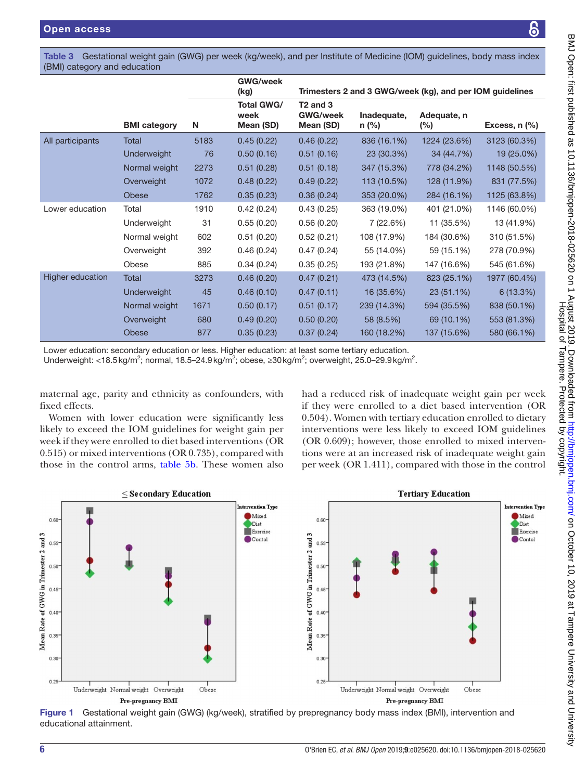၆

<span id="page-5-0"></span>Table 3 Gestational weight gain (GWG) per week (kg/week), and per Institute of Medicine (IOM) guidelines, body mass index (BMI) category and education

|                  |                     |      | <b>GWG/week</b><br>(kg)                |                                              |                        | Trimesters 2 and 3 GWG/week (kg), and per IOM guidelines |                 |
|------------------|---------------------|------|----------------------------------------|----------------------------------------------|------------------------|----------------------------------------------------------|-----------------|
|                  | <b>BMI</b> category | N    | <b>Total GWG/</b><br>week<br>Mean (SD) | $T2$ and $3$<br><b>GWG/week</b><br>Mean (SD) | Inadequate,<br>$n$ (%) | Adequate, n<br>$(\% )$                                   | Excess, $n$ $%$ |
| All participants | Total               | 5183 | 0.45(0.22)                             | 0.46(0.22)                                   | 836 (16.1%)            | 1224 (23.6%)                                             | 3123 (60.3%)    |
|                  | Underweight         | 76   | 0.50(0.16)                             | 0.51(0.16)                                   | 23 (30.3%)             | 34 (44.7%)                                               | 19 (25.0%)      |
|                  | Normal weight       | 2273 | 0.51(0.28)                             | 0.51(0.18)                                   | 347 (15.3%)            | 778 (34.2%)                                              | 1148 (50.5%)    |
|                  | Overweight          | 1072 | 0.48(0.22)                             | 0.49(0.22)                                   | 113 (10.5%)            | 128 (11.9%)                                              | 831 (77.5%)     |
|                  | Obese               | 1762 | 0.35(0.23)                             | 0.36(0.24)                                   | 353 (20.0%)            | 284 (16.1%)                                              | 1125 (63.8%)    |
| Lower education  | Total               | 1910 | 0.42(0.24)                             | 0.43(0.25)                                   | 363 (19.0%)            | 401 (21.0%)                                              | 1146 (60.0%)    |
|                  | Underweight         | 31   | 0.55(0.20)                             | 0.56(0.20)                                   | 7 (22.6%)              | 11 (35.5%)                                               | 13 (41.9%)      |
|                  | Normal weight       | 602  | 0.51(0.20)                             | 0.52(0.21)                                   | 108 (17.9%)            | 184 (30.6%)                                              | 310 (51.5%)     |
|                  | Overweight          | 392  | 0.46(0.24)                             | 0.47(0.24)                                   | 55 (14.0%)             | 59 (15.1%)                                               | 278 (70.9%)     |
|                  | Obese               | 885  | 0.34(0.24)                             | 0.35(0.25)                                   | 193 (21.8%)            | 147 (16.6%)                                              | 545 (61.6%)     |
| Higher education | Total               | 3273 | 0.46(0.20)                             | 0.47(0.21)                                   | 473 (14.5%)            | 823 (25.1%)                                              | 1977 (60.4%)    |
|                  | Underweight         | 45   | 0.46(0.10)                             | 0.47(0.11)                                   | 16 (35.6%)             | 23 (51.1%)                                               | 6(13.3%)        |
|                  | Normal weight       | 1671 | 0.50(0.17)                             | 0.51(0.17)                                   | 239 (14.3%)            | 594 (35.5%)                                              | 838 (50.1%)     |
|                  | Overweight          | 680  | 0.49(0.20)                             | 0.50(0.20)                                   | 58 (8.5%)              | 69 (10.1%)                                               | 553 (81.3%)     |
|                  | Obese               | 877  | 0.35(0.23)                             | 0.37(0.24)                                   | 160 (18.2%)            | 137 (15.6%)                                              | 580 (66.1%)     |

Lower education: secondary education or less. Higher education: at least some tertiary education.

Underweight: <18.5 kg/m<sup>2</sup>; normal, 18.5–24.9 kg/m<sup>2</sup>; obese, ≥30 kg/m<sup>2</sup>; overweight, 25.0–29.9 kg/m<sup>2</sup>.

maternal age, parity and ethnicity as confounders, with fixed effects.

Women with lower education were significantly less likely to exceed the IOM guidelines for weight gain per week if they were enrolled to diet based interventions (OR 0.515) or mixed interventions (OR 0.735), compared with those in the control arms, [table](#page-7-0) 5b. These women also had a reduced risk of inadequate weight gain per week if they were enrolled to a diet based intervention (OR 0.504). Women with tertiary education enrolled to dietary interventions were less likely to exceed IOM guidelines (OR 0.609); however, those enrolled to mixed interventions were at an increased risk of inadequate weight gain per week (OR 1.411), compared with those in the control



<span id="page-5-1"></span>Figure 1 Gestational weight gain (GWG) (kg/week), stratified by prepregnancy body mass index (BMI), intervention and educational attainment.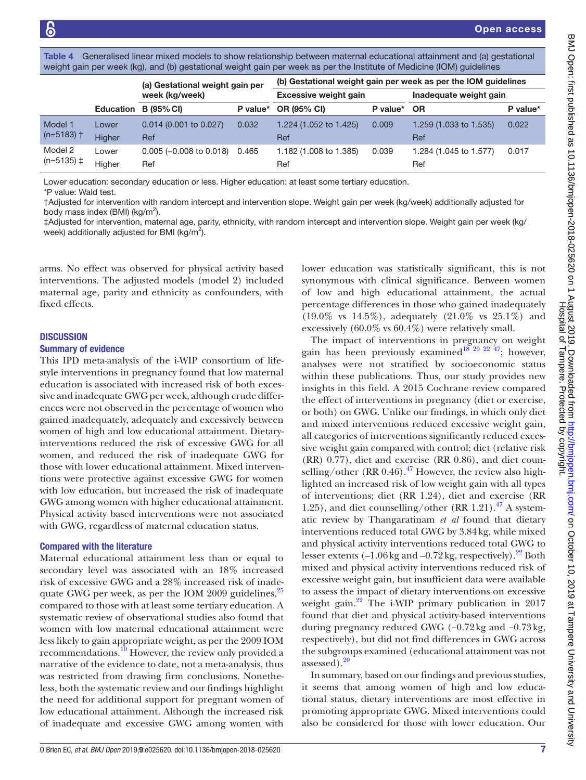<span id="page-6-0"></span>

|  |  | Table 4 Generalised linear mixed models to show relationship between maternal educational attainment and (a) gestational |  |
|--|--|--------------------------------------------------------------------------------------------------------------------------|--|
|  |  | weight gain per week (kg), and (b) gestational weight gain per week as per the Institute of Medicine (IOM) guidelines    |  |

|                         |                  | (a) Gestational weight gain per           |          |                               |          | (b) Gestational weight gain per week as per the IOM guidelines |          |
|-------------------------|------------------|-------------------------------------------|----------|-------------------------------|----------|----------------------------------------------------------------|----------|
|                         |                  | week (kg/week)                            |          | <b>Excessive weight gain</b>  |          | Inadequate weight gain                                         |          |
|                         | <b>Education</b> | <b>B</b> (95% CI)                         | P value* | <b>OR (95% CI)</b>            | P value* | <b>OR</b>                                                      | P value* |
| Model 1<br>$(n=5183)$ † | Lower<br>Higher  | $0.014$ (0.001 to 0.027)<br>Ref           | 0.032    | 1.224 (1.052 to 1.425)<br>Ref | 0.009    | 1.259 (1.033 to 1.535)<br>Ref                                  | 0.022    |
| Model 2<br>$(n=5135)$ ‡ | Lower<br>Higher  | $0.005 (-0.008 \text{ to } 0.018)$<br>Ref | 0.465    | 1.182 (1.008 to 1.385)<br>Ref | 0.039    | 1.284 (1.045 to 1.577)<br>Ref                                  | 0.017    |

Lower education: secondary education or less. Higher education: at least some tertiary education.

*\**P value: Wald test.

†Adjusted for intervention with random intercept and intervention slope. Weight gain per week (kg/week) additionally adjusted for body mass index (BMI) (kg/m<sup>2</sup>).

‡Adjusted for intervention, maternal age, parity, ethnicity, with random intercept and intervention slope. Weight gain per week (kg/ week) additionally adjusted for BMI (kg/m<sup>2</sup>).

arms. No effect was observed for physical activity based interventions. The adjusted models (model 2) included maternal age, parity and ethnicity as confounders, with fixed effects.

#### **DISCUSSION**

#### Summary of evidence

This IPD meta-analysis of the i-WIP consortium of lifestyle interventions in pregnancy found that low maternal education is associated with increased risk of both excessive and inadequate GWG per week, although crude differences were not observed in the percentage of women who gained inadequately, adequately and excessively between women of high and low educational attainment. Dietaryinterventions reduced the risk of excessive GWG for all women, and reduced the risk of inadequate GWG for those with lower educational attainment. Mixed interventions were protective against excessive GWG for women with low education, but increased the risk of inadequate GWG among women with higher educational attainment. Physical activity based interventions were not associated with GWG, regardless of maternal education status.

#### Compared with the literature

Maternal educational attainment less than or equal to secondary level was associated with an 18% increased risk of excessive GWG and a 28% increased risk of inadequate GWG per week, as per the IOM 2009 guidelines,  $25$ compared to those with at least some tertiary education. A systematic review of observational studies also found that women with low maternal educational attainment were less likely to gain appropriate weight, as per the 2009 IOM recommendations.<sup>[10](#page-10-1)</sup> However, the review only provided a narrative of the evidence to date, not a meta-analysis, thus was restricted from drawing firm conclusions. Nonetheless, both the systematic review and our findings highlight the need for additional support for pregnant women of low educational attainment. Although the increased risk of inadequate and excessive GWG among women with

lower education was statistically significant, this is not synonymous with clinical significance. Between women of low and high educational attainment, the actual percentage differences in those who gained inadequately (19.0% vs 14.5%), adequately (21.0% vs 25.1%) and excessively (60.0% vs 60.4%) were relatively small.

The impact of interventions in pregnancy on weight gain has been previously examined<sup>18 20</sup> <sup>22</sup> <sup>47</sup>; however, analyses were not stratified by socioeconomic status within these publications. Thus, our study provides new insights in this field. A 2015 Cochrane review compared the effect of interventions in pregnancy (diet or exercise, or both) on GWG. Unlike our findings, in which only diet and mixed interventions reduced excessive weight gain, all categories of interventions significantly reduced excessive weight gain compared with control; diet (relative risk (RR) 0.77), diet and exercise (RR 0.86), and diet counselling/other (RR 0.46). $^{47}$  However, the review also highlighted an increased risk of low weight gain with all types of interventions; diet (RR 1.24), diet and exercise (RR 1.25), and diet counselling/other  $(RR 1.21).$ <sup>47</sup> A systematic review by Thangaratinam *et al* found that dietary interventions reduced total GWG by 3.84kg, while mixed and physical activity interventions reduced total GWG to lesser extents  $(-1.06 \text{ kg and } -0.72 \text{ kg},$  respectively).<sup>22</sup> Both mixed and physical activity interventions reduced risk of excessive weight gain, but insufficient data were available to assess the impact of dietary interventions on excessive weight gain.<sup>22</sup> The i-WIP primary publication in 2017 found that diet and physical activity-based interventions during pregnancy reduced GWG (−0.72kg and −0.73kg, respectively), but did not find differences in GWG across the subgroups examined (educational attainment was not assessed).[20](#page-10-10)

In summary, based on our findings and previous studies, it seems that among women of high and low educational status, dietary interventions are most effective in promoting appropriate GWG. Mixed interventions could also be considered for those with lower education. Our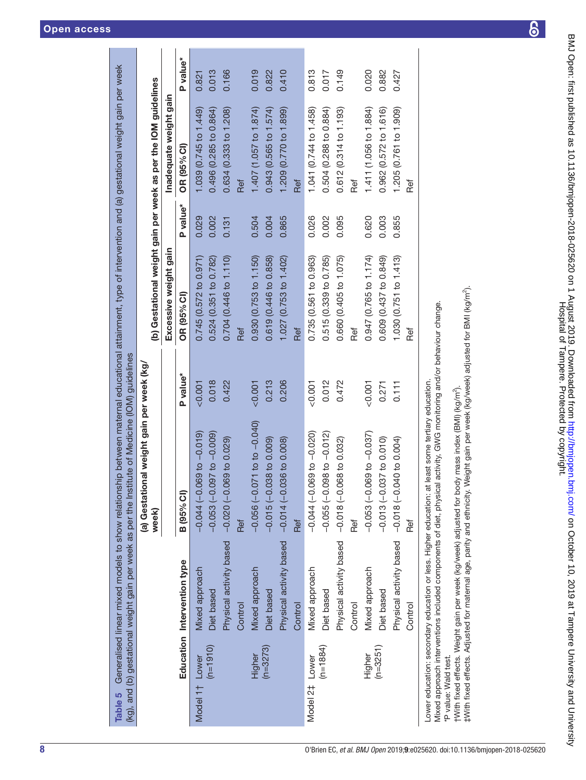|  | <b>Open access</b> |  |
|--|--------------------|--|
|  |                    |  |

|                            |                             | (a) Gestational weight gain per week (kg/                                                                                                                                                                                 |          |                                                                |          |                        |          |
|----------------------------|-----------------------------|---------------------------------------------------------------------------------------------------------------------------------------------------------------------------------------------------------------------------|----------|----------------------------------------------------------------|----------|------------------------|----------|
|                            |                             | week)                                                                                                                                                                                                                     |          | (b) Gestational weight gain per week as per the IOM guidelines |          |                        |          |
|                            |                             |                                                                                                                                                                                                                           |          | Excessive weight gain                                          |          | Inadequate weight gain |          |
|                            | Education Intervention type | <b>B</b> (95% CI)                                                                                                                                                                                                         | P value* | OR (95% CI)                                                    | P value* | OR (95% CI)            | P value* |
| Model 1 <sup>+</sup> Lower | Mixed approach              | $-0.010000000000000$                                                                                                                                                                                                      | 0.001    | 0.745(0.572 to 0.971)                                          | 0.029    | 1.039 (0.745 to 1.449) | 0.821    |
| $(n=1910)$                 | Diet based                  | $(-0.053(-0.097 to -0.009))$                                                                                                                                                                                              | 0.018    | 0.524 (0.351 to 0.782)                                         | 0.002    | 0.496 (0.285 to 0.864) | 0.013    |
|                            | Physical activity based     | $-0.020(-0.069 to 0.029)$                                                                                                                                                                                                 | 0.422    | 0.704 (0.446 to 1.110)                                         | 0.131    | 0.634 (0.333 to 1.208) | 0.166    |
|                            | Control                     | Ref                                                                                                                                                                                                                       |          | Ref                                                            |          | Ref                    |          |
| Higher                     | Mixed approach              | $-0.056(-0.071$ to to $-0.040)$                                                                                                                                                                                           | 0.001    | 0.930 (0.753 to 1.150)                                         | 0.504    | 1.407 (1.057 to 1.874) | 0.019    |
| $(n=3273)$                 | Diet based                  | $-0.015(-0.038$ to 0.009)                                                                                                                                                                                                 | 0.213    | 0.619 (0.446 to 0.858)                                         | 0.004    | 0.943 (0.565 to 1.574) | 0.822    |
|                            | Physical activity based     | $-0.014(-0.036$ to 0.008)                                                                                                                                                                                                 | 0.206    | 1.027 (0.753 to 1.402)                                         | 0.865    | 1.209 (0.770 to 1.899) | 0.410    |
|                            | Control                     | Ref                                                                                                                                                                                                                       |          | Ref                                                            |          | Ref                    |          |
| Model 2‡ Lower             | Mixed approach              | $-0.010 - 0.060 - 0.000 - 0.000$                                                                                                                                                                                          | 0.001    | 0.735 (0.561 to 0.963)                                         | 0.026    | 1.041 (0.744 to 1.458) | 0.813    |
| $(n=1884)$                 | Diet based                  | $-0.055(-0.098$ to $-0.012$ )                                                                                                                                                                                             | 0.012    | 0.515 (0.339 to 0.785)                                         | 0.002    | 0.504 (0.288 to 0.884) | 0.017    |
|                            | Physical activity based     | $-0.018(-0.068 to 0.032)$                                                                                                                                                                                                 | 0.472    | 0.660 (0.405 to 1.075)                                         | 0.095    | 0.612 (0.314 to 1.193) | 0.149    |
|                            | Control                     | Ref                                                                                                                                                                                                                       |          | Ref                                                            |          | Ref                    |          |
| Higher                     | Mixed approach              | $-0.053(-0.069 to -0.037)$                                                                                                                                                                                                | 0.001    | 0.947 (0.765 to 1.174)                                         | 0.620    | 1.411 (1.056 to 1.884) | 0.020    |
| $(n=3251)$                 | Diet based                  | $-0.013(-0.037$ to 0.010)                                                                                                                                                                                                 | 0.271    | 0.609 (0.437 to 0.849)                                         | 0.003    | 0.962 (0.572 to 1.616) | 0.882    |
|                            | Physical activity based     | $-0.018(-0.040 to 0.004)$                                                                                                                                                                                                 | 0.111    | 1.030 (0.751 to 1.413)                                         | 0.855    | 1.205 (0.761 to 1.909) | 0.427    |
|                            | Control                     | Ref                                                                                                                                                                                                                       |          | Ref                                                            |          | Ref                    |          |
|                            |                             | Mixed approach interventions included components of diet, physical activity, GWG monitoring and/or behaviour change.<br>Lower education: secondary education or less. Higher education: at least some tertiary education. |          |                                                                |          |                        |          |

*\**P value: Wald test.

<span id="page-7-0"></span>\*P value: Wald test.

†With fixed effects. Weight gain per week (kg/week) adjusted for body mass index (BMI) (kg/m2).

tWith fixed effects. Weight gain per week (kg/week) adjusted for body mass index (BMI) (kg/m<sup>2</sup>).

‡With fixed effects. Adjusted for maternal age, parity and ethnicity. Weight gain per week (kg/week) adjusted for BMI (kg/m2).

#With fixed effects. Adjusted for maternal age, parity and ethnicity. Weight gain per week (kg/week) adjusted for BMI (kg/m<sup>2</sup>).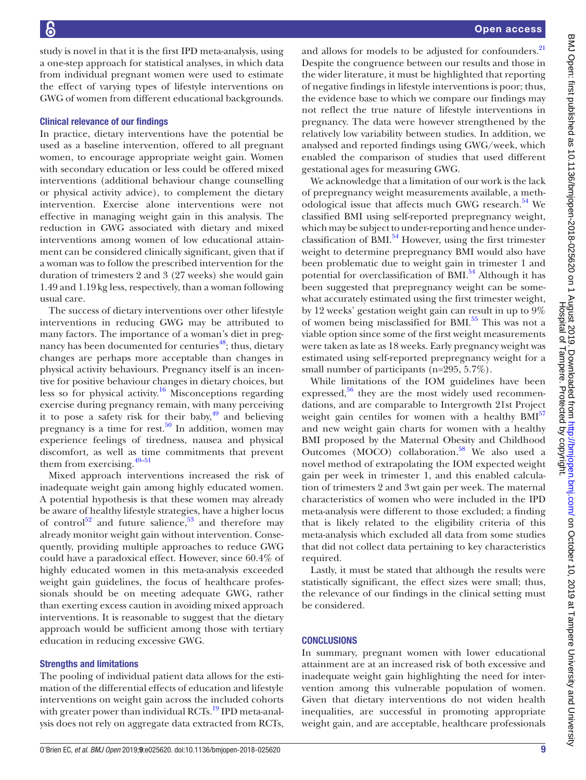study is novel in that it is the first IPD meta-analysis, using a one-step approach for statistical analyses, in which data from individual pregnant women were used to estimate the effect of varying types of lifestyle interventions on GWG of women from different educational backgrounds.

#### Clinical relevance of our findings

In practice, dietary interventions have the potential be used as a baseline intervention, offered to all pregnant women, to encourage appropriate weight gain. Women with secondary education or less could be offered mixed interventions (additional behaviour change counselling or physical activity advice), to complement the dietary intervention. Exercise alone interventions were not effective in managing weight gain in this analysis. The reduction in GWG associated with dietary and mixed interventions among women of low educational attainment can be considered clinically significant, given that if a woman was to follow the prescribed intervention for the duration of trimesters 2 and 3 (27 weeks) she would gain 1.49 and 1.19kg less, respectively, than a woman following usual care.

The success of dietary interventions over other lifestyle interventions in reducing GWG may be attributed to many factors. The importance of a woman's diet in preg-nancy has been documented for centuries<sup>[48](#page-10-19)</sup>; thus, dietary changes are perhaps more acceptable than changes in physical activity behaviours. Pregnancy itself is an incentive for positive behaviour changes in dietary choices, but less so for physical activity.<sup>16</sup> Misconceptions regarding exercise during pregnancy remain, with many perceiving it to pose a safety risk for their baby, $^{49}$  $^{49}$  $^{49}$  and believing pregnancy is a time for rest.<sup>50</sup> In addition, women may experience feelings of tiredness, nausea and physical discomfort, as well as time commitments that prevent them from exercising. $49-51$ 

Mixed approach interventions increased the risk of inadequate weight gain among highly educated women. A potential hypothesis is that these women may already be aware of healthy lifestyle strategies, have a higher locus of control<sup>52</sup> and future salience,<sup>53</sup> and therefore may already monitor weight gain without intervention. Consequently, providing multiple approaches to reduce GWG could have a paradoxical effect. However, since 60.4% of highly educated women in this meta-analysis exceeded weight gain guidelines, the focus of healthcare professionals should be on meeting adequate GWG, rather than exerting excess caution in avoiding mixed approach interventions. It is reasonable to suggest that the dietary approach would be sufficient among those with tertiary education in reducing excessive GWG.

#### Strengths and limitations

The pooling of individual patient data allows for the estimation of the differential effects of education and lifestyle interventions on weight gain across the included cohorts with greater power than individual RCTs.<sup>19</sup> IPD meta-analysis does not rely on aggregate data extracted from RCTs,

and allows for models to be adjusted for confounders.<sup>[21](#page-10-11)</sup> Despite the congruence between our results and those in the wider literature, it must be highlighted that reporting of negative findings in lifestyle interventions is poor; thus, the evidence base to which we compare our findings may not reflect the true nature of lifestyle interventions in pregnancy. The data were however strengthened by the relatively low variability between studies. In addition, we analysed and reported findings using GWG/week, which enabled the comparison of studies that used different gestational ages for measuring GWG.

We acknowledge that a limitation of our work is the lack of prepregnancy weight measurements available, a methodological issue that affects much GWG research.<sup>54</sup> We classified BMI using self-reported prepregnancy weight, which may be subject to under-reporting and hence underclassification of BMI. $^{54}$  $^{54}$  $^{54}$  However, using the first trimester weight to determine prepregnancy BMI would also have been problematic due to weight gain in trimester 1 and potential for overclassification of BMI.<sup>[54](#page-11-2)</sup> Although it has been suggested that prepregnancy weight can be somewhat accurately estimated using the first trimester weight, by 12 weeks' gestation weight gain can result in up to 9% of women being misclassified for BMI.<sup>[55](#page-11-3)</sup> This was not a viable option since some of the first weight measurements were taken as late as 18 weeks. Early pregnancy weight was estimated using self-reported prepregnancy weight for a small number of participants (n=295, 5.7%).

While limitations of the IOM guidelines have been expressed, $56$  they are the most widely used recommendations, and are comparable to Intergrowth 21st Project weight gain centiles for women with a healthy  $BMI<sup>57</sup>$  $BMI<sup>57</sup>$  $BMI<sup>57</sup>$ and new weight gain charts for women with a healthy BMI proposed by the Maternal Obesity and Childhood Outcomes (MOCO) collaboration.<sup>58</sup> We also used a novel method of extrapolating the IOM expected weight gain per week in trimester 1, and this enabled calculation of trimesters 2 and 3wt gain per week. The maternal characteristics of women who were included in the IPD meta-analysis were different to those excluded; a finding that is likely related to the eligibility criteria of this meta-analysis which excluded all data from some studies that did not collect data pertaining to key characteristics required.

Lastly, it must be stated that although the results were statistically significant, the effect sizes were small; thus, the relevance of our findings in the clinical setting must be considered.

#### **CONCLUSIONS**

In summary, pregnant women with lower educational attainment are at an increased risk of both excessive and inadequate weight gain highlighting the need for intervention among this vulnerable population of women. Given that dietary interventions do not widen health inequalities, are successful in promoting appropriate weight gain, and are acceptable, healthcare professionals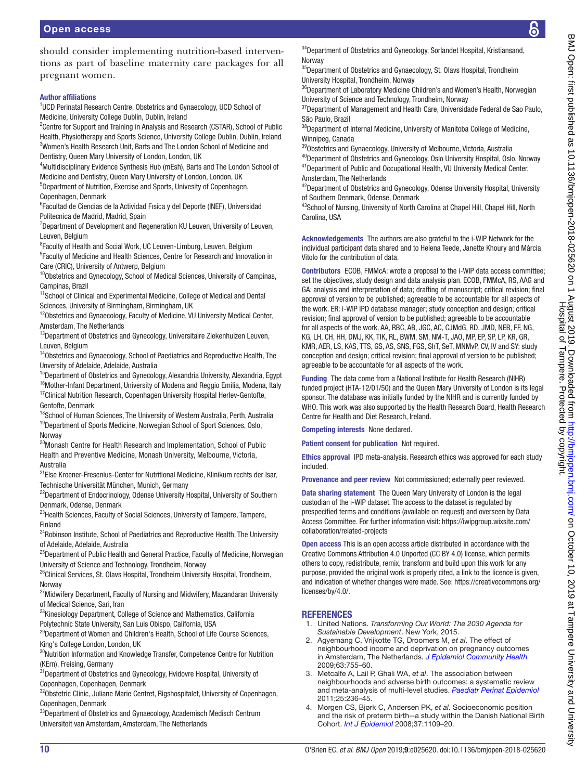should consider implementing nutrition-based interventions as part of baseline maternity care packages for all pregnant women.

#### Author affiliations

<sup>1</sup>UCD Perinatal Research Centre, Obstetrics and Gynaecology, UCD School of Medicine, University College Dublin, Dublin, Ireland

<sup>2</sup> Centre for Support and Training in Analysis and Research (CSTAR), School of Public Health, Physiotherapy and Sports Science, University College Dublin, Dublin, Ireland <sup>3</sup>Women's Health Research Unit, Barts and The London School of Medicine and Dentistry, Queen Mary University of London, London, UK

<sup>4</sup>Multidisciplinary Evidence Synthesis Hub (mEsh), Barts and The London School of Medicine and Dentistry, Queen Mary University of London, London, UK

5 Department of Nutrition, Exercise and Sports, Univesity of Copenhagen, Copenhagen, Denmark

6 Facultad de Ciencias de la Actividad Fısica y del Deporte (INEF), Universidad Politecnica de Madrid, Madrid, Spain

<sup>7</sup>Department of Development and Regeneration KU Leuven, University of Leuven, Leuven, Belgium

<sup>8</sup> Faculty of Health and Social Work, UC Leuven-Limburg, Leuven, Belgium <sup>9</sup> Faculty of Medicine and Health Sciences, Centre for Research and Innovation in Care (CRIC), University of Antwerp, Belgium

<sup>10</sup>Obstetrics and Gynecology, School of Medical Sciences, University of Campinas, Campinas, Brazil

<sup>11</sup>School of Clinical and Experimental Medicine, College of Medical and Dental Sciences, University of Birmingham, Birmingham, UK

<sup>12</sup>Obstetrics and Gynaecology, Faculty of Medicine, VU University Medical Center, Amsterdam, The Netherlands

<sup>13</sup>Department of Obstetrics and Gynecology, Universitaire Ziekenhuizen Leuven, Leuven, Belgium

<sup>14</sup>Obstetrics and Gynaecology, School of Paediatrics and Reproductive Health, The Unversity of Adelaide, Adelaide, Australia

<sup>15</sup>Department of Obstetrics and Gynecology, Alexandria University, Alexandria, Egypt <sup>16</sup>Mother-Infant Department, University of Modena and Reggio Emilia, Modena, Italy

<sup>17</sup>Clinical Nutrition Research, Copenhagen University Hospital Herlev-Gentofte, Gentofte, Denmark

<sup>18</sup>School of Human Sciences, The University of Western Australia, Perth, Australia <sup>19</sup>Department of Sports Medicine, Norwegian School of Sport Sciences, Oslo, Norway

<sup>20</sup>Monash Centre for Health Research and Implementation, School of Public Health and Preventive Medicine, Monash University, Melbourne, Victoria, Australia

<sup>21</sup>Else Kroener-Fresenius-Center for Nutritional Medicine, Klinikum rechts der Isar, Technische Universität München, Munich, Germany

<sup>22</sup>Department of Endocrinology, Odense University Hospital, University of Southern Denmark, Odense, Denmark

<sup>23</sup> Health Sciences, Faculty of Social Sciences, University of Tampere, Tampere, Finland

<sup>24</sup>Robinson Institute, School of Paediatrics and Reproductive Health, The University of Adelaide, Adelaide, Australia

<sup>25</sup>Department of Public Health and General Practice, Faculty of Medicine, Norwegian University of Science and Technology, Trondheim, Norway

<sup>26</sup>Clinical Services, St. Olavs Hospital, Trondheim University Hospital, Trondheim, Norway

 $27$ Midwifery Department, Faculty of Nursing and Midwifery, Mazandaran University of Medical Science, Sari, Iran

<sup>28</sup>Kinesiology Department, College of Science and Mathematics, California Polytechnic State University, San Luis Obispo, California, USA

<sup>29</sup>Department of Women and Children's Health, School of Life Course Sciences, King's College London, London, UK

<sup>30</sup>Nutrition Information and Knowledge Transfer, Competence Centre for Nutrition (KErn), Freising, Germany

<sup>31</sup>Department of Obstetrics and Gynecology, Hvidovre Hospital, University of Copenhagen, Copenhagen, Denmark

<sup>32</sup>Obstetric Clinic, Juliane Marie Centret, Rigshospitalet, University of Copenhagen, Copenhagen, Denmark

<sup>33</sup>Department of Obstetrics and Gynaecology, Academisch Medisch Centrum Universiteit van Amsterdam, Amsterdam, The Netherlands

<sup>34</sup>Department of Obstetrics and Gynecology, Sorlandet Hospital, Kristiansand, Norway

<sup>35</sup>Department of Obstetrics and Gynaecology, St. Olavs Hospital, Trondheim University Hospital, Trondheim, Norway

<sup>36</sup>Department of Laboratory Medicine Children's and Women's Health, Norwegian University of Science and Technology, Trondheim, Norway

<sup>37</sup> Department of Management and Health Care, Universidade Federal de Sao Paulo, São Paulo, Brazil

<sup>38</sup>Department of Internal Medicine, University of Manitoba College of Medicine, Winnipeg, Canada

39Obstetrics and Gynaecology, University of Melbourne, Victoria, Australia

<sup>40</sup>Department of Obstetrics and Gynecology, Oslo University Hospital, Oslo, Norway 41Department of Public and Occupational Health, VU University Medical Center, Amsterdam, The Netherlands

<sup>42</sup>Department of Obstetrics and Gynecology, Odense University Hospital, University of Southern Denmark, Odense, Denmark

43School of Nursing, University of North Carolina at Chapel Hill, Chapel Hill, North Carolina, USA

Acknowledgements The authors are also grateful to the i-WIP Network for the individual participant data shared and to Helena Teede, Janette Khoury and Márcia Vitolo for the contribution of data.

Contributors ECOB, FMMcA: wrote a proposal to the i-WIP data access committee; set the objectives, study design and data analysis plan. ECOB, FMMcA, RS, AAG and GA: analysis and interpretation of data; drafting of manuscript; critical revision; final approval of version to be published; agreeable to be accountable for all aspects of the work. ER: i-WIP IPD database manager; study conception and design; critical revision; final approval of version to be published; agreeable to be accountable for all aspects of the work. AA, RBC, AB, JGC, AC, CJMdG, RD, JMD, NEB, FF, NG, KG, LH, CH, HH, DMJ, KK, TIK, RL, BWM, SM, NM-T, JAO, MP, EP, SP, LP, KR, GR, KMR, AER, LS, KÅS, TTS, GS, AS, SNS, FGS, ShT, SeT, MNMvP, CV, IV and SY: study conception and design; critical revision; final approval of version to be published; agreeable to be accountable for all aspects of the work.

Funding The data come from a National Institute for Health Research (NIHR) funded project (HTA-12/01/50) and the Queen Mary University of London is its legal sponsor. The database was initially funded by the NIHR and is currently funded by WHO. This work was also supported by the Health Research Board, Health Research Centre for Health and Diet Research, Ireland.

Competing interests None declared.

Patient consent for publication Not required.

Ethics approval IPD meta-analysis. Research ethics was approved for each study included.

Provenance and peer review Not commissioned; externally peer reviewed.

Data sharing statement The Queen Mary University of London is the legal custodian of the i-WIP dataset. The access to the dataset is regulated by prespecified terms and conditions (available on request) and overseen by Data Access Committee. For further information visit: [https://iwipgroup.wixsite.com/](https://iwipgroup.wixsite.com/collaboration/related-projects) [collaboration/related-projects](https://iwipgroup.wixsite.com/collaboration/related-projects)

Open access This is an open access article distributed in accordance with the Creative Commons Attribution 4.0 Unported (CC BY 4.0) license, which permits others to copy, redistribute, remix, transform and build upon this work for any purpose, provided the original work is properly cited, a link to the licence is given, and indication of whether changes were made. See: [https://creativecommons.org/](https://creativecommons.org/licenses/by/4.0/) [licenses/by/4.0/](https://creativecommons.org/licenses/by/4.0/).

# **REFERENCES**

- <span id="page-9-0"></span>1. United Nations. *Transforming Our World: The 2030 Agenda for Sustainable Development*. New York, 2015.
- <span id="page-9-1"></span>2. Agyemang C, Vrijkotte TG, Droomers M, *et al*. The effect of neighbourhood income and deprivation on pregnancy outcomes in Amsterdam, The Netherlands. *[J Epidemiol Community Health](http://dx.doi.org/10.1136/jech.2008.080408)* 2009;63:755–60.
- 3. Metcalfe A, Lail P, Ghali WA, *et al*. The association between neighbourhoods and adverse birth outcomes: a systematic review and meta-analysis of multi-level studies. *[Paediatr Perinat Epidemiol](http://dx.doi.org/10.1111/j.1365-3016.2011.01192.x)* 2011;25:236–45.
- 4. Morgen CS, Bjørk C, Andersen PK, *et al*. Socioeconomic position and the risk of preterm birth--a study within the Danish National Birth Cohort. *[Int J Epidemiol](http://dx.doi.org/10.1093/ije/dyn112)* 2008;37:1109–20.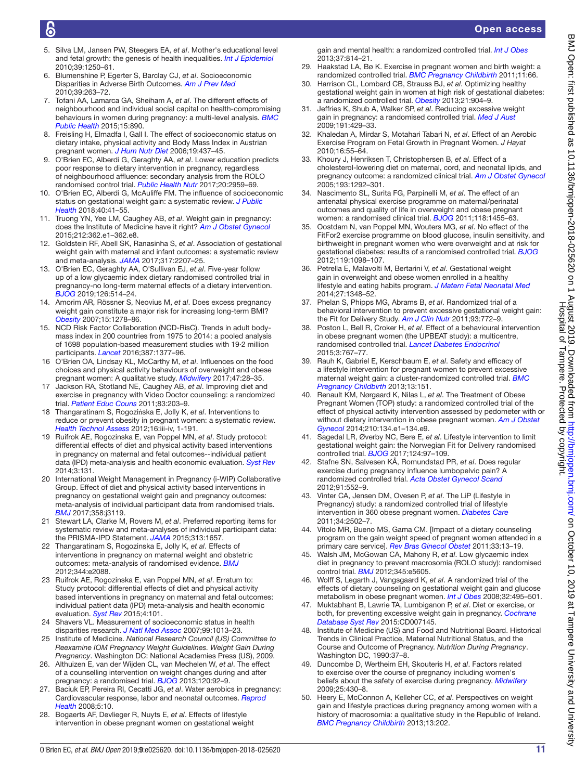- 5. Silva LM, Jansen PW, Steegers EA, *et al*. Mother's educational level and fetal growth: the genesis of health inequalities. *[Int J Epidemiol](http://dx.doi.org/10.1093/ije/dyq069)* 2010;39:1250–61.
- 6. Blumenshine P, Egerter S, Barclay CJ, *et al*. Socioeconomic Disparities in Adverse Birth Outcomes. *[Am J Prev Med](http://dx.doi.org/10.1016/j.amepre.2010.05.012)* 2010;39:263–72.
- <span id="page-10-0"></span>7. Tofani AA, Lamarca GA, Sheiham A, *et al*. The different effects of neighbourhood and individual social capital on health-compromising behaviours in women during pregnancy: a multi-level analysis. *[BMC](http://dx.doi.org/10.1186/s12889-015-2213-4)  [Public Health](http://dx.doi.org/10.1186/s12889-015-2213-4)* 2015;15:890.
- 8. Freisling H, Elmadfa I, Gall I. The effect of socioeconomic status on dietary intake, physical activity and Body Mass Index in Austrian pregnant women. *[J Hum Nutr Diet](http://dx.doi.org/10.1111/j.1365-277X.2006.00723.x)* 2006;19:437–45.
- 9. O'Brien EC, Alberdi G, Geraghty AA, *et al*. Lower education predicts poor response to dietary intervention in pregnancy, regardless of neighbourhood affluence: secondary analysis from the ROLO randomised control trial. *[Public Health Nutr](http://dx.doi.org/10.1017/S1368980017001951)* 2017;20:2959–69.
- <span id="page-10-1"></span>10. O'Brien EC, Alberdi G, McAuliffe FM. The influence of socioeconomic status on gestational weight gain: a systematic review. *[J Public](http://dx.doi.org/10.1093/pubmed/fdx038)  [Health](http://dx.doi.org/10.1093/pubmed/fdx038)* 2018;40:41–55.
- <span id="page-10-2"></span>11. Truong YN, Yee LM, Caughey AB, *et al*. Weight gain in pregnancy: does the Institute of Medicine have it right? *[Am J Obstet Gynecol](http://dx.doi.org/10.1016/j.ajog.2015.01.027)* 2015;212:362.e1–362.e8.
- 12. Goldstein RF, Abell SK, Ranasinha S, *et al*. Association of gestational weight gain with maternal and infant outcomes: a systematic review and meta-analysis. *[JAMA](http://dx.doi.org/10.1001/jama.2017.3635)* 2017;317:2207–25.
- <span id="page-10-3"></span>13. O'Brien EC, Geraghty AA, O'Sullivan EJ, *et al*. Five-year follow up of a low glycaemic index dietary randomised controlled trial in pregnancy-no long-term maternal effects of a dietary intervention. *[BJOG](http://dx.doi.org/10.1111/1471-0528.15500)* 2019;126:514–24.
- <span id="page-10-4"></span>14. Amorim AR, Rössner S, Neovius M, *et al*. Does excess pregnancy weight gain constitute a major risk for increasing long-term BMI? *[Obesity](http://dx.doi.org/10.1038/oby.2007.149)* 2007;15:1278–86.
- <span id="page-10-5"></span>15. NCD Risk Factor Collaboration (NCD-RisC). Trends in adult bodymass index in 200 countries from 1975 to 2014: a pooled analysis of 1698 population-based measurement studies with 19·2 million participants. *[Lancet](http://dx.doi.org/10.1016/S0140-6736(16)30054-X)* 2016;387:1377–96.
- <span id="page-10-6"></span>16 O'Brien OA, Lindsay KL, McCarthy M, *et al*. Influences on the food choices and physical activity behaviours of overweight and obese pregnant women: A qualitative study. *[Midwifery](http://dx.doi.org/10.1016/j.midw.2017.02.003)* 2017;47:28–35.
- <span id="page-10-7"></span>17 Jackson RA, Stotland NE, Caughey AB, *et al*. Improving diet and exercise in pregnancy with Video Doctor counseling: a randomized trial. *[Patient Educ Couns](http://dx.doi.org/10.1016/j.pec.2010.05.019)* 2011;83:203–9.
- <span id="page-10-8"></span>18 Thangaratinam S, Rogozińska E, Jolly K, *et al*. Interventions to reduce or prevent obesity in pregnant women: a systematic review. *[Health Technol Assess](http://dx.doi.org/10.3310/hta16310)* 2012;16:iii-iv, 1-191.
- <span id="page-10-9"></span>19 Ruifrok AE, Rogozinska E, van Poppel MN, *et al*. Study protocol: differential effects of diet and physical activity based interventions in pregnancy on maternal and fetal outcomes--individual patient data (IPD) meta-analysis and health economic evaluation. *[Syst Rev](http://dx.doi.org/10.1186/2046-4053-3-131)* 2014;3:131.
- <span id="page-10-10"></span>20 International Weight Management in Pregnancy (i-WIP) Collaborative Group. Effect of diet and physical activity based interventions in pregnancy on gestational weight gain and pregnancy outcomes: meta-analysis of individual participant data from randomised trials. *[BMJ](http://dx.doi.org/10.1136/bmj.j3119)* 2017;358:j3119.
- <span id="page-10-11"></span>21 Stewart LA, Clarke M, Rovers M, *et al*. Preferred reporting items for systematic review and meta-analyses of individual participant data: the PRISMA-IPD Statement. *[JAMA](http://dx.doi.org/10.1001/jama.2015.3656)* 2015;313:1657.
- <span id="page-10-12"></span>22 Thangaratinam S, Rogozinska E, Jolly K, *et al*. Effects of interventions in pregnancy on maternal weight and obstetric outcomes: meta-analysis of randomised evidence. *[BMJ](http://dx.doi.org/10.1136/bmj.e2088)* 2012;344:e2088.
- 23 Ruifrok AE, Rogozinska E, van Poppel MN, *et al*. Erratum to: Study protocol: differential effects of diet and physical activity based interventions in pregnancy on maternal and fetal outcomes: individual patient data (IPD) meta-analysis and health economic evaluation. *[Syst Rev](http://dx.doi.org/10.1186/s13643-015-0079-2)* 2015;4:101.
- <span id="page-10-13"></span>24 Shavers VL. Measurement of socioeconomic status in health disparities research. *[J Natl Med Assoc](http://www.ncbi.nlm.nih.gov/pubmed/17913111)* 2007;99:1013–23.
- <span id="page-10-14"></span>25 Institute of Medicine. *National Research Council (US) Committee to Reexamine IOM Pregnancy Weight Guidelines. Weight Gain During Pregnancy*. Washington DC: National Academies Press (US), 2009.
- <span id="page-10-15"></span>26. Althuizen E, van der Wijden CL, van Mechelen W, *et al*. The effect of a counselling intervention on weight changes during and after pregnancy: a randomised trial. *[BJOG](http://dx.doi.org/10.1111/1471-0528.12014)* 2013;120:92–9.
- 27. Baciuk EP, Pereira RI, Cecatti JG, *et al*. Water aerobics in pregnancy: Cardiovascular response, labor and neonatal outcomes. *[Reprod](http://dx.doi.org/10.1186/1742-4755-5-10)  [Health](http://dx.doi.org/10.1186/1742-4755-5-10)* 2008;5:10.
- <span id="page-10-16"></span>28. Bogaerts AF, Devlieger R, Nuyts E, *et al*. Effects of lifestyle intervention in obese pregnant women on gestational weight

gain and mental health: a randomized controlled trial. *[Int J Obes](http://dx.doi.org/10.1038/ijo.2012.162)* 2013;37:814–21.

- 29. Haakstad LA, Bø K. Exercise in pregnant women and birth weight: a randomized controlled trial. *[BMC Pregnancy Childbirth](http://dx.doi.org/10.1186/1471-2393-11-66)* 2011;11:66.
- 30. Harrison CL, Lombard CB, Strauss BJ, *et al*. Optimizing healthy gestational weight gain in women at high risk of gestational diabetes: a randomized controlled trial. *[Obesity](http://dx.doi.org/10.1002/oby.20163)* 2013;21:904–9.
- 31. Jeffries K, Shub A, Walker SP, *et al*. Reducing excessive weight gain in pregnancy: a randomised controlled trial. *[Med J Aust](http://www.ncbi.nlm.nih.gov/pubmed/19835535)* 2009;191:429–33.
- 32. Khaledan A, Mirdar S, Motahari Tabari N, *et al*. Effect of an Aerobic Exercise Program on Fetal Growth in Pregnant Women. *J Hayat* 2010;16:55–64.
- 33. Khoury J, Henriksen T, Christophersen B, *et al*. Effect of a cholesterol-lowering diet on maternal, cord, and neonatal lipids, and pregnancy outcome: a randomized clinical trial. *[Am J Obstet Gynecol](http://dx.doi.org/10.1016/j.ajog.2005.05.016)* 2005;193:1292–301.
- 34. Nascimento SL, Surita FG, Parpinelli M, *et al*. The effect of an antenatal physical exercise programme on maternal/perinatal outcomes and quality of life in overweight and obese pregnant women: a randomised clinical trial. *[BJOG](http://dx.doi.org/10.1111/j.1471-0528.2011.03084.x)* 2011;118:1455–63.
- 35. Oostdam N, van Poppel MN, Wouters MG, *et al*. No effect of the FitFor2 exercise programme on blood glucose, insulin sensitivity, and birthweight in pregnant women who were overweight and at risk for gestational diabetes: results of a randomised controlled trial. *[BJOG](http://dx.doi.org/10.1111/j.1471-0528.2012.03366.x)* 2012;119:1098–107.
- 36. Petrella E, Malavolti M, Bertarini V, *et al*. Gestational weight gain in overweight and obese women enrolled in a healthy lifestyle and eating habits program. *[J Matern Fetal Neonatal Med](http://dx.doi.org/10.3109/14767058.2013.858318)* 2014;27:1348–52.
- 37. Phelan S, Phipps MG, Abrams B, *et al*. Randomized trial of a behavioral intervention to prevent excessive gestational weight gain: the Fit for Delivery Study. *[Am J Clin Nutr](http://dx.doi.org/10.3945/ajcn.110.005306)* 2011;93:772–9.
- 38. Poston L, Bell R, Croker H, *et al*. Effect of a behavioural intervention in obese pregnant women (the UPBEAT study): a multicentre, randomised controlled trial. *[Lancet Diabetes Endocrinol](http://dx.doi.org/10.1016/S2213-8587(15)00227-2)* 2015;3:767–77.
- 39. Rauh K, Gabriel E, Kerschbaum E, *et al*. Safety and efficacy of a lifestyle intervention for pregnant women to prevent excessive maternal weight gain: a cluster-randomized controlled trial. *[BMC](http://dx.doi.org/10.1186/1471-2393-13-151)  [Pregnancy Childbirth](http://dx.doi.org/10.1186/1471-2393-13-151)* 2013;13:151.
- 40. Renault KM, Nørgaard K, Nilas L, *et al*. The Treatment of Obese Pregnant Women (TOP) study: a randomized controlled trial of the effect of physical activity intervention assessed by pedometer with or without dietary intervention in obese pregnant women. *[Am J Obstet](http://dx.doi.org/10.1016/j.ajog.2013.09.029)  [Gynecol](http://dx.doi.org/10.1016/j.ajog.2013.09.029)* 2014;210:134.e1–134.e9.
- 41. Sagedal LR, Øverby NC, Bere E, *et al*. Lifestyle intervention to limit gestational weight gain: the Norwegian Fit for Delivery randomised controlled trial. *[BJOG](http://dx.doi.org/10.1111/1471-0528.13862)* 2017;124:97–109.
- 42. Stafne SN, Salvesen KÅ, Romundstad PR, *et al*. Does regular exercise during pregnancy influence lumbopelvic pain? A randomized controlled trial. *[Acta Obstet Gynecol Scand](http://dx.doi.org/10.1111/j.1600-0412.2012.01382.x)* 2012;91:552–9.
- 43. Vinter CA, Jensen DM, Ovesen P, *et al*. The LiP (Lifestyle in Pregnancy) study: a randomized controlled trial of lifestyle intervention in 360 obese pregnant women. *[Diabetes Care](http://dx.doi.org/10.2337/dc11-1150)* 2011;34:2502–7.
- 44. Vítolo MR, Bueno MS, Gama CM. [Impact of a dietary counseling program on the gain weight speed of pregnant women attended in a primary care service]. *[Rev Bras Ginecol Obstet](http://www.ncbi.nlm.nih.gov/pubmed/21625788)* 2011;33:13–19.
- 45. Walsh JM, McGowan CA, Mahony R, *et al*. Low glycaemic index diet in pregnancy to prevent macrosomia (ROLO study): randomised control trial. *[BMJ](http://dx.doi.org/10.1136/bmj.e5605)* 2012;345:e5605.
- <span id="page-10-17"></span>46. Wolff S, Legarth J, Vangsgaard K, *et al*. A randomized trial of the effects of dietary counseling on gestational weight gain and glucose metabolism in obese pregnant women. *[Int J Obes](http://dx.doi.org/10.1038/sj.ijo.0803710)* 2008;32:495–501.
- <span id="page-10-18"></span>47. Muktabhant B, Lawrie TA, Lumbiganon P, *et al*. Diet or exercise, or both, for preventing excessive weight gain in pregnancy. *[Cochrane](http://dx.doi.org/10.1002/14651858.CD007145.pub3)  [Database Syst Rev](http://dx.doi.org/10.1002/14651858.CD007145.pub3)* 2015:CD007145.
- <span id="page-10-19"></span>48. Institute of Medicine (US) and Food and Nutritional Board. Historical Trends in Clinical Practice, Maternal Nutritional Status, and the Course and Outcome of Pregnancy. *Nutrition During Pregnancy*. Washington DC, 1990:37–8.
- <span id="page-10-20"></span>49. Duncombe D, Wertheim EH, Skouteris H, *et al*. Factors related to exercise over the course of pregnancy including women's beliefs about the safety of exercise during pregnancy. *[Midwifery](http://dx.doi.org/10.1016/j.midw.2007.03.002)* 2009;25:430–8.
- <span id="page-10-21"></span>50. Heery E, McConnon A, Kelleher CC, *et al*. Perspectives on weight gain and lifestyle practices during pregnancy among women with a history of macrosomia: a qualitative study in the Republic of Ireland. *[BMC Pregnancy Childbirth](http://dx.doi.org/10.1186/1471-2393-13-202)* 2013;13:202.